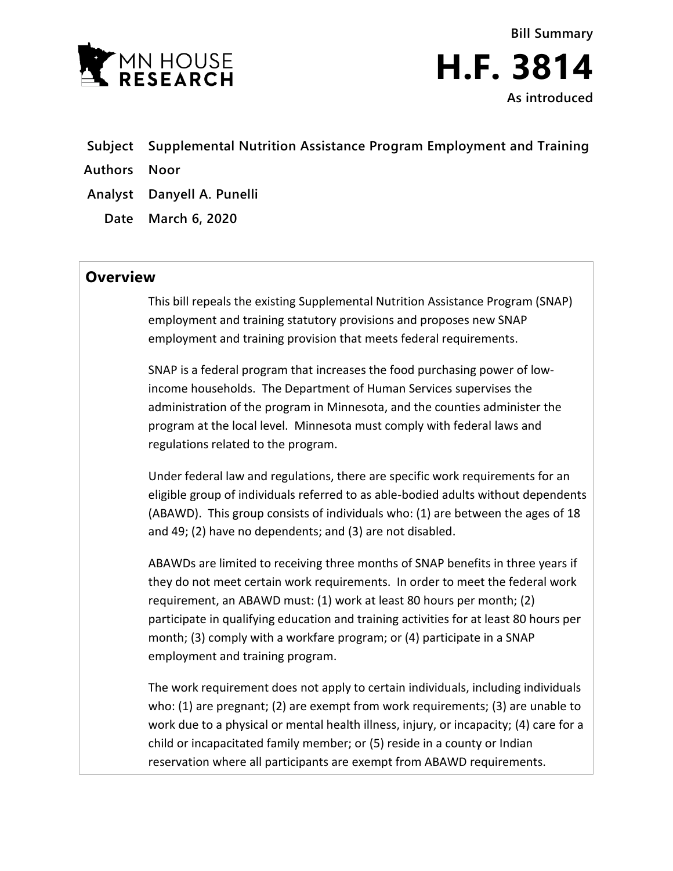

- **Subject Supplemental Nutrition Assistance Program Employment and Training**
- **Authors Noor**
- **Analyst Danyell A. Punelli**
	- **Date March 6, 2020**

## **Overview**

This bill repeals the existing Supplemental Nutrition Assistance Program (SNAP) employment and training statutory provisions and proposes new SNAP employment and training provision that meets federal requirements.

SNAP is a federal program that increases the food purchasing power of lowincome households. The Department of Human Services supervises the administration of the program in Minnesota, and the counties administer the program at the local level. Minnesota must comply with federal laws and regulations related to the program.

Under federal law and regulations, there are specific work requirements for an eligible group of individuals referred to as able-bodied adults without dependents (ABAWD). This group consists of individuals who: (1) are between the ages of 18 and 49; (2) have no dependents; and (3) are not disabled.

ABAWDs are limited to receiving three months of SNAP benefits in three years if they do not meet certain work requirements. In order to meet the federal work requirement, an ABAWD must: (1) work at least 80 hours per month; (2) participate in qualifying education and training activities for at least 80 hours per month; (3) comply with a workfare program; or (4) participate in a SNAP employment and training program.

The work requirement does not apply to certain individuals, including individuals who: (1) are pregnant; (2) are exempt from work requirements; (3) are unable to work due to a physical or mental health illness, injury, or incapacity; (4) care for a child or incapacitated family member; or (5) reside in a county or Indian reservation where all participants are exempt from ABAWD requirements.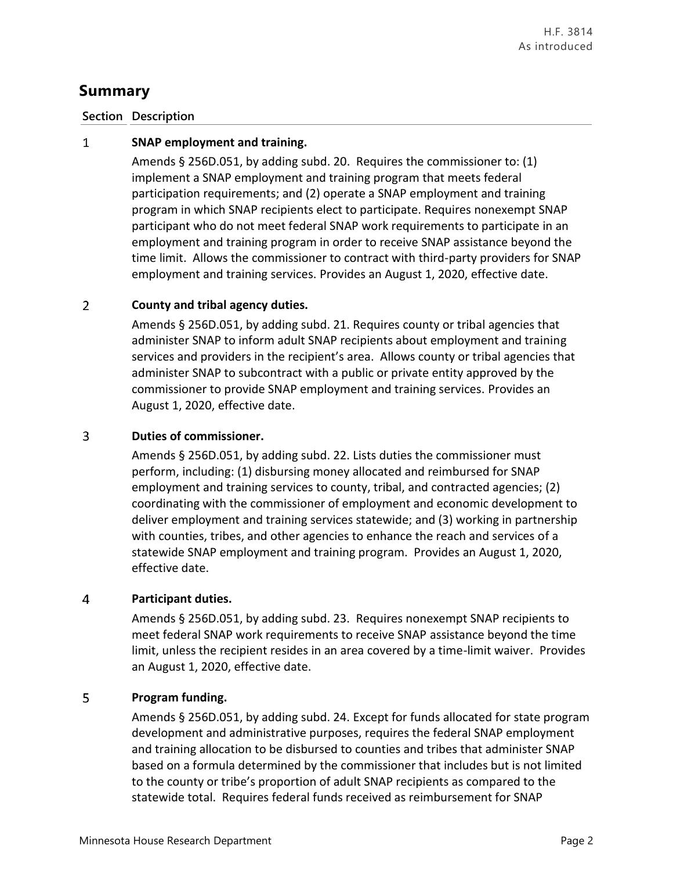# **Summary**

### **Section Description**

#### $\mathbf{1}$ **SNAP employment and training.**

Amends § 256D.051, by adding subd. 20. Requires the commissioner to: (1) implement a SNAP employment and training program that meets federal participation requirements; and (2) operate a SNAP employment and training program in which SNAP recipients elect to participate. Requires nonexempt SNAP participant who do not meet federal SNAP work requirements to participate in an employment and training program in order to receive SNAP assistance beyond the time limit. Allows the commissioner to contract with third-party providers for SNAP employment and training services. Provides an August 1, 2020, effective date.

#### $\overline{2}$ **County and tribal agency duties.**

Amends § 256D.051, by adding subd. 21. Requires county or tribal agencies that administer SNAP to inform adult SNAP recipients about employment and training services and providers in the recipient's area. Allows county or tribal agencies that administer SNAP to subcontract with a public or private entity approved by the commissioner to provide SNAP employment and training services. Provides an August 1, 2020, effective date.

#### 3 **Duties of commissioner.**

Amends § 256D.051, by adding subd. 22. Lists duties the commissioner must perform, including: (1) disbursing money allocated and reimbursed for SNAP employment and training services to county, tribal, and contracted agencies; (2) coordinating with the commissioner of employment and economic development to deliver employment and training services statewide; and (3) working in partnership with counties, tribes, and other agencies to enhance the reach and services of a statewide SNAP employment and training program. Provides an August 1, 2020, effective date.

#### $\overline{4}$ **Participant duties.**

Amends § 256D.051, by adding subd. 23. Requires nonexempt SNAP recipients to meet federal SNAP work requirements to receive SNAP assistance beyond the time limit, unless the recipient resides in an area covered by a time-limit waiver. Provides an August 1, 2020, effective date.

#### 5 **Program funding.**

Amends § 256D.051, by adding subd. 24. Except for funds allocated for state program development and administrative purposes, requires the federal SNAP employment and training allocation to be disbursed to counties and tribes that administer SNAP based on a formula determined by the commissioner that includes but is not limited to the county or tribe's proportion of adult SNAP recipients as compared to the statewide total. Requires federal funds received as reimbursement for SNAP